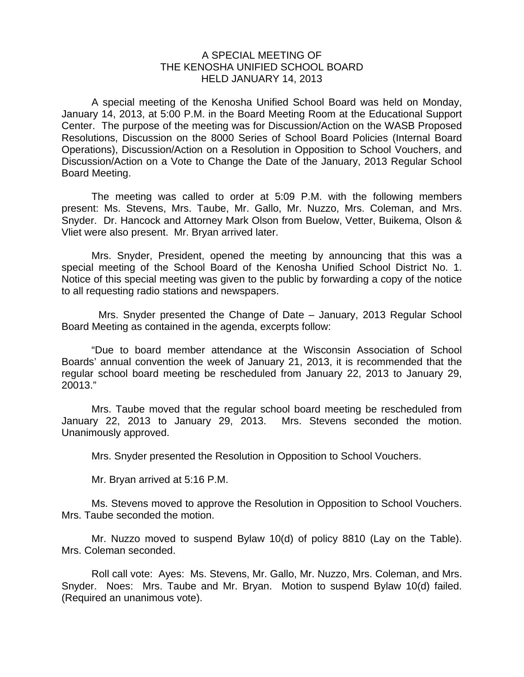## A SPECIAL MEETING OF THE KENOSHA UNIFIED SCHOOL BOARD HELD JANUARY 14, 2013

 A special meeting of the Kenosha Unified School Board was held on Monday, January 14, 2013, at 5:00 P.M. in the Board Meeting Room at the Educational Support Center. The purpose of the meeting was for Discussion/Action on the WASB Proposed Resolutions, Discussion on the 8000 Series of School Board Policies (Internal Board Operations), Discussion/Action on a Resolution in Opposition to School Vouchers, and Discussion/Action on a Vote to Change the Date of the January, 2013 Regular School Board Meeting.

 The meeting was called to order at 5:09 P.M. with the following members present: Ms. Stevens, Mrs. Taube, Mr. Gallo, Mr. Nuzzo, Mrs. Coleman, and Mrs. Snyder. Dr. Hancock and Attorney Mark Olson from Buelow, Vetter, Buikema, Olson & Vliet were also present. Mr. Bryan arrived later.

 Mrs. Snyder, President, opened the meeting by announcing that this was a special meeting of the School Board of the Kenosha Unified School District No. 1. Notice of this special meeting was given to the public by forwarding a copy of the notice to all requesting radio stations and newspapers.

 Mrs. Snyder presented the Change of Date – January, 2013 Regular School Board Meeting as contained in the agenda, excerpts follow:

 "Due to board member attendance at the Wisconsin Association of School Boards' annual convention the week of January 21, 2013, it is recommended that the regular school board meeting be rescheduled from January 22, 2013 to January 29, 20013."

 Mrs. Taube moved that the regular school board meeting be rescheduled from January 22, 2013 to January 29, 2013. Mrs. Stevens seconded the motion. Unanimously approved.

Mrs. Snyder presented the Resolution in Opposition to School Vouchers.

Mr. Bryan arrived at 5:16 P.M.

 Ms. Stevens moved to approve the Resolution in Opposition to School Vouchers. Mrs. Taube seconded the motion.

 Mr. Nuzzo moved to suspend Bylaw 10(d) of policy 8810 (Lay on the Table). Mrs. Coleman seconded.

 Roll call vote: Ayes: Ms. Stevens, Mr. Gallo, Mr. Nuzzo, Mrs. Coleman, and Mrs. Snyder. Noes: Mrs. Taube and Mr. Bryan. Motion to suspend Bylaw 10(d) failed. (Required an unanimous vote).